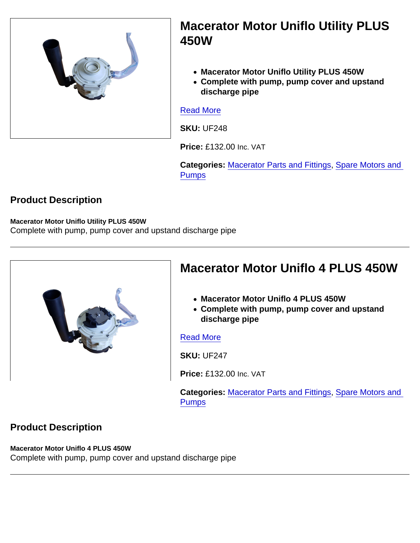## Macerator Motor Uniflo Utility PLUS 450W

- Macerator Motor Uniflo Utility PLUS 450W
- Complete with pump, pump cover and upstand discharge pipe

#### [Read More](https://unifloproducts.co.uk/product/macerator-motor-uniflo-utility-plus-450w-copy/)

SKU: UF248

Price: £132.00 Inc. VAT

Categories: [Macerator Parts and Fittings,](https://unifloproducts.co.uk/product-category/macerator-parts-and-fittings/) [Spare Motors and](https://unifloproducts.co.uk/product-category/macerator-parts-and-fittings/spare-motors-and-pumps/)  [Pumps](https://unifloproducts.co.uk/product-category/macerator-parts-and-fittings/spare-motors-and-pumps/)

#### Product Description

Macerator Motor Uniflo Utility PLUS 450W Complete with pump, pump cover and upstand discharge pipe

| Macerator Motor Uniflo 4 PLUS 450W                                                                     |
|--------------------------------------------------------------------------------------------------------|
| • Macerator Motor Uniflo 4 PLUS 450W<br>• Complete with pump, pump cover and upstand<br>discharge pipe |
| <b>Read More</b>                                                                                       |
| <b>SKU: UF247</b>                                                                                      |
| Price: £132.00 Inc. VAT                                                                                |

Categories: [Macerator Parts and Fittings,](https://unifloproducts.co.uk/product-category/macerator-parts-and-fittings/) [Spare Motors and](https://unifloproducts.co.uk/product-category/macerator-parts-and-fittings/spare-motors-and-pumps/)  **[Pumps](https://unifloproducts.co.uk/product-category/macerator-parts-and-fittings/spare-motors-and-pumps/)** 

#### Product Description

Macerator Motor Uniflo 4 PLUS 450W Complete with pump, pump cover and upstand discharge pipe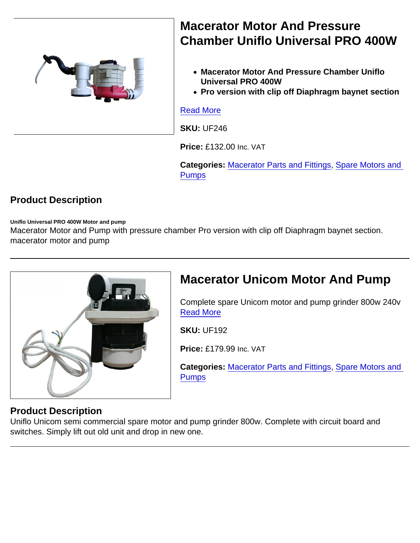Macerator Motor And Pressure Chamber Uniflo Universal PRO 400W Macerator Motor And Pressure Chamber Uniflo Universal PRO 400W • Pro version with clip off Diaphragm baynet section [Read More](https://unifloproducts.co.uk/product/macerator-motor-and-pressure-chamber-uniflo-universal-pro-400w/) SKU: UF246

Price: £132.00 Inc. VAT

Categories: [Macerator Parts and Fittings,](https://unifloproducts.co.uk/product-category/macerator-parts-and-fittings/) [Spare Motors and](https://unifloproducts.co.uk/product-category/macerator-parts-and-fittings/spare-motors-and-pumps/)  [Pumps](https://unifloproducts.co.uk/product-category/macerator-parts-and-fittings/spare-motors-and-pumps/)

#### Product Description

Uniflo Universal PRO 400W Motor and pump

Macerator Motor and Pump with pressure chamber Pro version with clip off Diaphragm baynet section. macerator motor and pump

# Macerator Unicom Motor And Pump

Complete spare Unicom motor and pump grinder 800w 240v [Read More](https://unifloproducts.co.uk/product/macerator-unicom-motor-and-pump/)

SKU: UF192

Price: £179.99 Inc. VAT

Categories: [Macerator Parts and Fittings,](https://unifloproducts.co.uk/product-category/macerator-parts-and-fittings/) [Spare Motors and](https://unifloproducts.co.uk/product-category/macerator-parts-and-fittings/spare-motors-and-pumps/)  [Pumps](https://unifloproducts.co.uk/product-category/macerator-parts-and-fittings/spare-motors-and-pumps/)

#### Product Description

Uniflo Unicom semi commercial spare motor and pump grinder 800w. Complete with circuit board and switches. Simply lift out old unit and drop in new one.